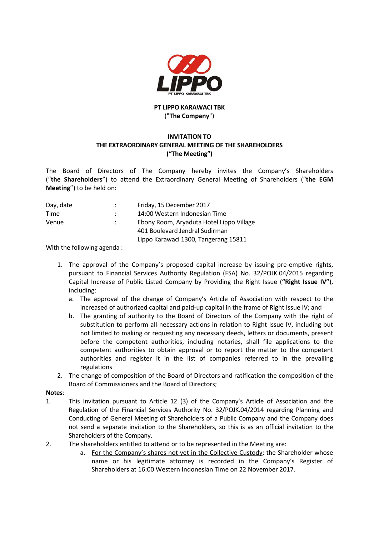

## **PT LIPPO KARAWACI TBK** ("**The Company**")

## **INVITATION TO THE EXTRAORDINARY GENERAL MEETING OF THE SHAREHOLDERS ("The Meeting")**

The Board of Directors of The Company hereby invites the Company's Shareholders ("**the Shareholders**") to attend the Extraordinary General Meeting of Shareholders ("**the EGM Meeting**") to be held on:

| Day, date | Friday, 15 December 2017                 |
|-----------|------------------------------------------|
| Time      | 14:00 Western Indonesian Time            |
| Venue     | Ebony Room, Aryaduta Hotel Lippo Village |
|           | 401 Boulevard Jendral Sudirman           |
|           | Lippo Karawaci 1300, Tangerang 15811     |

With the following agenda :

- 1. The approval of the Company's proposed capital increase by issuing pre-emptive rights, pursuant to Financial Services Authority Regulation (FSA) No. 32/POJK.04/2015 regarding Capital Increase of Public Listed Company by Providing the Right Issue (**"Right Issue IV"**), including:
	- a. The approval of the change of Company's Article of Association with respect to the increased of authorized capital and paid-up capital in the frame of Right Issue IV; and
	- b. The granting of authority to the Board of Directors of the Company with the right of substitution to perform all necessary actions in relation to Right Issue IV, including but not limited to making or requesting any necessary deeds, letters or documents, present before the competent authorities, including notaries, shall file applications to the competent authorities to obtain approval or to report the matter to the competent authorities and register it in the list of companies referred to in the prevailing regulations
- 2. The change of composition of the Board of Directors and ratification the composition of the Board of Commissioners and the Board of Directors;

## **Notes**:

- 1. This Invitation pursuant to Article 12 (3) of the Company's Article of Association and the Regulation of the Financial Services Authority No. 32/POJK.04/2014 regarding Planning and Conducting of General Meeting of Shareholders of a Public Company and the Company does not send a separate invitation to the Shareholders, so this is as an official invitation to the Shareholders of the Company.
- 2. The shareholders entitled to attend or to be represented in the Meeting are:
	- a. For the Company's shares not yet in the Collective Custody: the Shareholder whose name or his legitimate attorney is recorded in the Company's Register of Shareholders at 16:00 Western Indonesian Time on 22 November 2017.